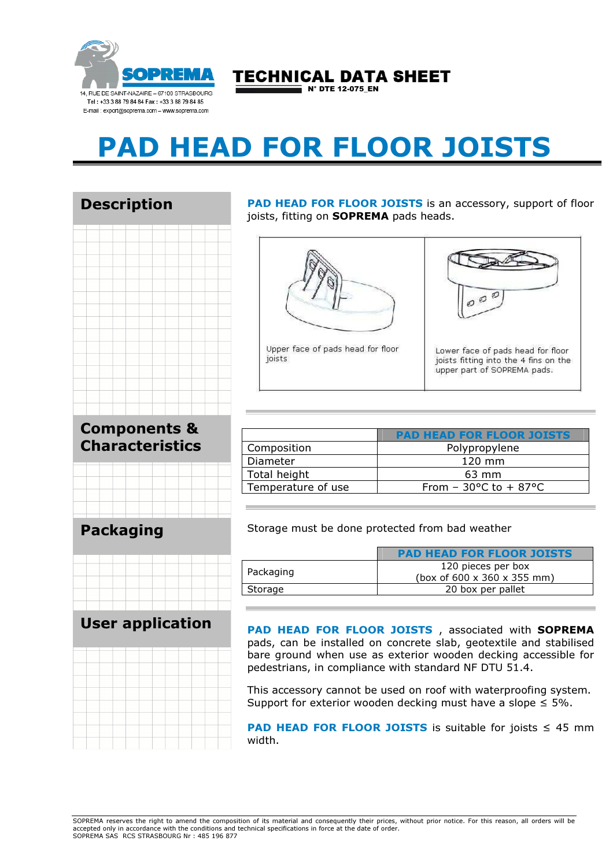

## TECHNICAL DATA SHEET

 $\overline{\phantom{a}}$  N° DTE 12-075 EN

# PAD HEAD FOR FLOOR JOISTS

### Description



#### Components & Characteristics



#### PAD HEAD FOR FLOOR JOISTS Composition **Polypropylene** Diameter and 120 mm Total height 63 mm Temperature of use  $\vert$  From - 30°C to + 87°C

#### Packaging



#### User application



PAD HEAD FOR FLOOR JOISTS

Storage must be done protected from bad weather

| Packaging | 120 pieces per box<br>(box of 600 x 360 x 355 mm) |
|-----------|---------------------------------------------------|
| Storage   | 20 box per pallet                                 |

PAD HEAD FOR FLOOR JOISTS, associated with SOPREMA pads, can be installed on concrete slab, geotextile and stabilised bare ground when use as exterior wooden decking accessible for pedestrians, in compliance with standard NF DTU 51.4.

This accessory cannot be used on roof with waterproofing system. Support for exterior wooden decking must have a slope  $\leq 5\%$ .

**PAD HEAD FOR FLOOR JOISTS** is suitable for joists  $\leq 45$  mm width.

PAD HEAD FOR FLOOR JOISTS is an accessory, support of floor joists, fitting on **SOPREMA** pads heads.



Upper face of pads head for floor

joists



Lower face of pads head for floor joists fitting into the 4 fins on the upper part of SOPREMA pads.

SOPREMA reserves the right to amend the composition of its material and consequently their prices, without prior notice. For this reason, all orders will be accepted only in accordance with the conditions and technical specifications in force at the date of order. SOPREMA SAS RCS STRASBOURG Nr : 485 196 877